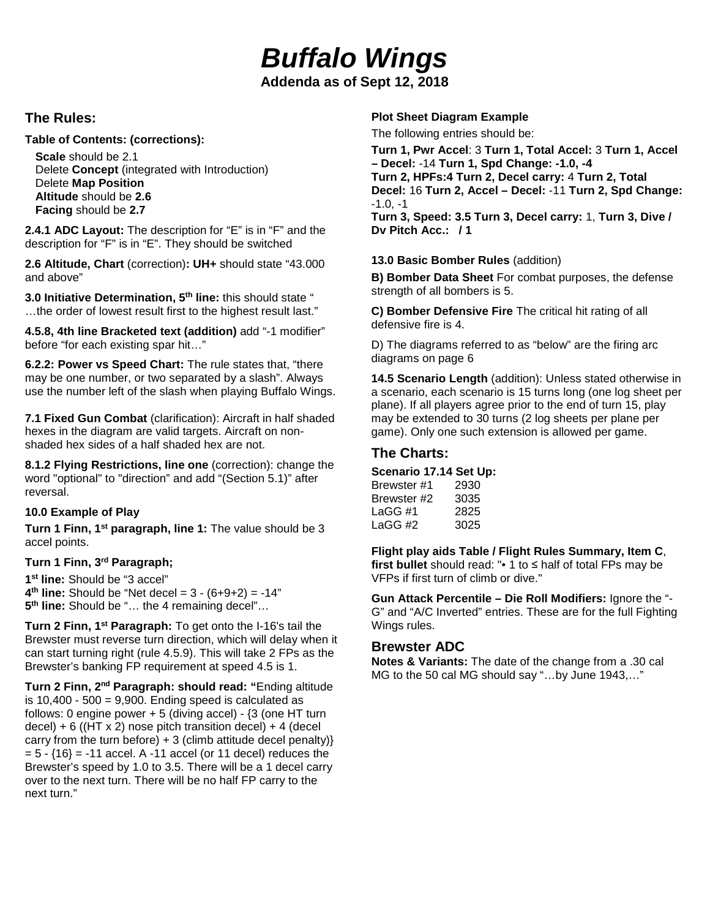# *Buffalo Wings*

**Addenda as of Sept 12, 2018**

## **The Rules:**

## **Table of Contents: (corrections):**

**Scale** should be 2.1 Delete **Concept** (integrated with Introduction) Delete **Map Position Altitude** should be **2.6 Facing** should be **2.7**

**2.4.1 ADC Layout:** The description for "E" is in "F" and the description for "F" is in "E". They should be switched

**2.6 Altitude, Chart** (correction)**: UH+** should state "43.000 and above"

**3.0 Initiative Determination, 5th line:** this should state " …the order of lowest result first to the highest result last."

**4.5.8, 4th line Bracketed text (addition)** add "-1 modifier" before "for each existing spar hit…"

**6.2.2: Power vs Speed Chart:** The rule states that, "there may be one number, or two separated by a slash". Always use the number left of the slash when playing Buffalo Wings.

**7.1 Fixed Gun Combat** (clarification): Aircraft in half shaded hexes in the diagram are valid targets. Aircraft on nonshaded hex sides of a half shaded hex are not.

**8.1.2 Flying Restrictions, line one** (correction): change the word "optional" to "direction" and add "(Section 5.1)" after reversal.

## **10.0 Example of Play**

**Turn 1 Finn, 1st paragraph, line 1:** The value should be 3 accel points.

## **Turn 1 Finn, 3rd Paragraph;**

**1st line:** Should be "3 accel"  $4<sup>th</sup>$  **line:** Should be "Net decel =  $3 - (6+9+2) = -14$ " **5th line:** Should be "… the 4 remaining decel"…

**Turn 2 Finn, 1st Paragraph:** To get onto the I-16's tail the Brewster must reverse turn direction, which will delay when it can start turning right (rule 4.5.9). This will take 2 FPs as the Brewster's banking FP requirement at speed 4.5 is 1.

**Turn 2 Finn, 2nd Paragraph: should read: "**Ending altitude is  $10,400 - 500 = 9,900$ . Ending speed is calculated as follows: 0 engine power  $+5$  (diving accel) -  $\{3 \}$  (one HT turn decel) + 6 ( $(HT \times 2)$  nose pitch transition decel) + 4 (decel) carry from the turn before)  $+3$  (climb attitude decel penalty)}  $= 5 - \{16\} = -11$  accel. A -11 accel (or 11 decel) reduces the Brewster's speed by 1.0 to 3.5. There will be a 1 decel carry over to the next turn. There will be no half FP carry to the next turn."

#### **Plot Sheet Diagram Example**

The following entries should be:

**Turn 1, Pwr Accel**: 3 **Turn 1, Total Accel:** 3 **Turn 1, Accel – Decel:** -14 **Turn 1, Spd Change: -1.0, -4 Turn 2, HPFs:4 Turn 2, Decel carry:** 4 **Turn 2, Total Decel:** 16 **Turn 2, Accel – Decel:** -11 **Turn 2, Spd Change:**   $-1.0 - 1$ **Turn 3, Speed: 3.5 Turn 3, Decel carry:** 1, **Turn 3, Dive / Dv Pitch Acc.: / 1** 

#### **13.0 Basic Bomber Rules** (addition)

**B) Bomber Data Sheet** For combat purposes, the defense strength of all bombers is 5.

**C) Bomber Defensive Fire** The critical hit rating of all defensive fire is 4.

D) The diagrams referred to as "below" are the firing arc diagrams on page 6

**14.5 Scenario Length** (addition): Unless stated otherwise in a scenario, each scenario is 15 turns long (one log sheet per plane). If all players agree prior to the end of turn 15, play may be extended to 30 turns (2 log sheets per plane per game). Only one such extension is allowed per game.

## **The Charts:**

#### **Scenario 17.14 Set Up:**

| Brewster #1 | 2930 |
|-------------|------|
| Brewster #2 | 3035 |
| LaGG #1     | 2825 |
| LaGG #2     | 3025 |

**Flight play aids Table / Flight Rules Summary, Item C**, **first bullet** should read: "• 1 to ≤ half of total FPs may be VFPs if first turn of climb or dive."

**Gun Attack Percentile – Die Roll Modifiers:** Ignore the "- G" and "A/C Inverted" entries. These are for the full Fighting Wings rules.

## **Brewster ADC**

**Notes & Variants:** The date of the change from a .30 cal MG to the 50 cal MG should say "…by June 1943,…"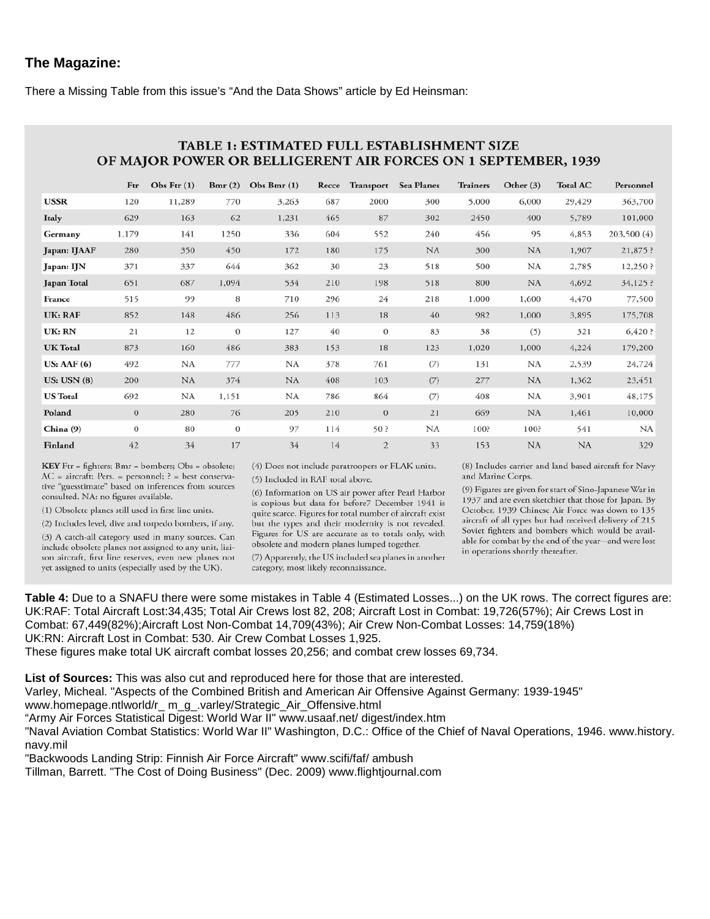## **The Magazine:**

There a Missing Table from this issue's "And the Data Shows" article by Ed Heinsman:

|                    |              |               |                | OF MAJOR POWER OR BELLIGERENT AIR FORCES ON 1 SEPTEMBER, 1939 |       |                  |                   |                 |             |                 |             |
|--------------------|--------------|---------------|----------------|---------------------------------------------------------------|-------|------------------|-------------------|-----------------|-------------|-----------------|-------------|
|                    | Ftr          | Obs Ftr $(1)$ | Bmr(2)         | Obs Bmr $(1)$                                                 | Recce | <b>Transport</b> | <b>Sea Planes</b> | <b>Trainers</b> | Other $(3)$ | <b>Total AC</b> | Personnel   |
| <b>USSR</b>        | 120          | 11,289        | 770            | 3,263                                                         | 687   | 2000             | 300               | 5,000           | 6,000       | 29,429          | 363,700     |
| Italy              | 629          | 163           | 62             | 1,231                                                         | 465   | 87               | 302               | 2450            | 400         | 5,789           | 101,000     |
| Germany            | 1,179        | 141           | 1250           | 336                                                           | 604   | 552              | 240               | 456             | 95          | 4,853           | 203,500 (4) |
| Japan: IJAAF       | 280          | 350           | 450            | 172                                                           | 180   | 175              | <b>NA</b>         | 300             | <b>NA</b>   | 1,907           | $21,875$ ?  |
| Japan: IJN         | 371          | 337           | 644            | 362                                                           | 30    | 23               | 518               | 500             | NA          | 2,785           | 12,250?     |
| <b>Japan Total</b> | 651          | 687           | 1,094          | 534                                                           | 210   | 198              | 518               | 800             | NA          | 4,692           | 34,125 ?    |
| France             | 515          | 99            | 8              | 710                                                           | 296   | 24               | 218               | 1,000           | 1,600       | 4,470           | 77,500      |
| <b>UK: RAF</b>     | 852          | 148           | 486            | 256                                                           | 113   | 18               | 40                | 982             | 1,000       | 3,895           | 175,708     |
| UK: RN             | 21           | 12            | $\mathbf{0}$   | 127                                                           | 40    | $\mathbf{0}$     | 83                | 38              | (5)         | 321             | 6,420?      |
| <b>UK Total</b>    | 873          | 160           | 486            | 383                                                           | 153   | 18               | 123               | 1,020           | 1,000       | 4,224           | 179,200     |
| US: AAF(6)         | 492          | NA            | 777            | <b>NA</b>                                                     | 378   | 761              | (7)               | 131             | NA          | 2,539           | 24,724      |
| US: USN(8)         | 200          | <b>NA</b>     | 374            | <b>NA</b>                                                     | 408   | 103              | (7)               | 277             | <b>NA</b>   | 1,362           | 23,451      |
| <b>US Total</b>    | 692          | NA            | 1,151          | <b>NA</b>                                                     | 786   | 864              | (7)               | 408             | NA          | 3,901           | 48,175      |
| Poland             | $\mathbf{0}$ | 280           | 76             | 205                                                           | 210   | $\mathbf{0}$     | 21                | 669             | <b>NA</b>   | 1,461           | 10,000      |
| China (9)          | $\theta$     | 80            | $\overline{0}$ | 97                                                            | 114   | 50?              | NA                | 100?            | 100?        | 541             | NA          |
| Finland            | 42           | 34            | 17             | 34                                                            | 14    | $\overline{2}$   | 33                | 153             | NA          | NA              | 329         |

## **TABLE 1. ESTIMATED FULL ESTABLISHMENT SIZE**

KEY Ftr = fighters; Bmr = bombers; Obs = obsolete; AC = aircraft; Pers. = personnel; ? = best conservative "guesstimate" based on inferences from sources consulted. NA: no figures available.

(1) Obsolete planes still used in first line units.

(2) Includes level, dive and torpedo bombers, if any.

(3) A catch-all category used in many sources. Can include obsolete planes not assigned to any unit, liaison aircraft, first line reserves, even new planes not yet assigned to units (especially used by the UK).

(4) Does not include paratroopers or FLAK units. (5) Included in RAF total above.

(6) Information on US air power after Pearl Harbor is copious but data for before7 December 1941 is quite scarce. Figures for total number of aircraft exist but the types and their modernity is not revealed. Figures for US are accurate as to totals only, with obsolete and modern planes lumped together. (7) Apparently, the US included sea planes in another

category, most likely reconnaissance.

(8) Includes carrier and land based aircraft for Navy and Marine Corps.

(9) Figures are given for start of Sino-Japanese War in 1937 and are even sketchier that those for Japan. By October, 1939 Chinese Air Force was down to 135 aircraft of all types but had received delivery of 215 Soviet fighters and bombers which would be available for combat by the end of the year-and were lost in operations shortly thereafter.

**Table 4:** Due to a SNAFU there were some mistakes in Table 4 (Estimated Losses...) on the UK rows. The correct figures are: UK:RAF: Total Aircraft Lost:34,435; Total Air Crews lost 82, 208; Aircraft Lost in Combat: 19,726(57%); Air Crews Lost in Combat: 67,449(82%);Aircraft Lost Non-Combat 14,709(43%); Air Crew Non-Combat Losses: 14,759(18%) UK:RN: Aircraft Lost in Combat: 530. Air Crew Combat Losses 1,925.

These figures make total UK aircraft combat losses 20,256; and combat crew losses 69,734.

**List of Sources:** This was also cut and reproduced here for those that are interested.

Varley, Micheal. "Aspects of the Combined British and American Air Offensive Against Germany: 1939-1945"

www.homepage.ntlworld/r\_ m\_g\_.varley/Strategic\_Air\_Offensive.html

"Army Air Forces Statistical Digest: World War II" www.usaaf.net/ digest/index.htm

"Naval Aviation Combat Statistics: World War II" Washington, D.C.: Office of the Chief of Naval Operations, 1946. www.history. navy.mil

"Backwoods Landing Strip: Finnish Air Force Aircraft" www.scifi/faf/ ambush

Tillman, Barrett. "The Cost of Doing Business" (Dec. 2009) www.flightjournal.com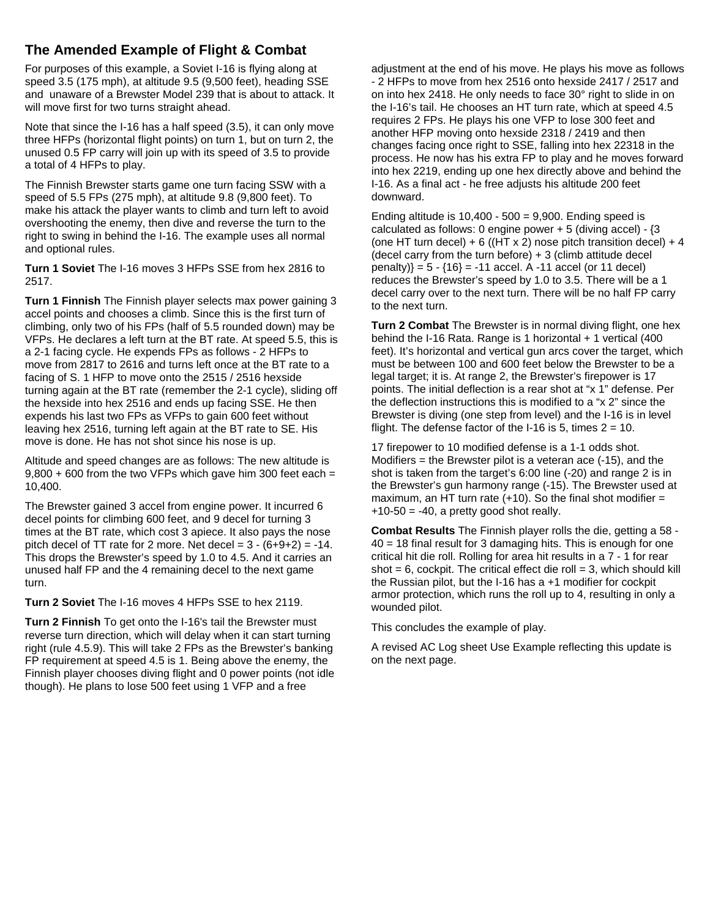## **The Amended Example of Flight & Combat**

For purposes of this example, a Soviet I-16 is flying along at speed 3.5 (175 mph), at altitude 9.5 (9,500 feet), heading SSE and unaware of a Brewster Model 239 that is about to attack. It will move first for two turns straight ahead.

Note that since the I-16 has a half speed (3.5), it can only move three HFPs (horizontal flight points) on turn 1, but on turn 2, the unused 0.5 FP carry will join up with its speed of 3.5 to provide a total of 4 HFPs to play.

The Finnish Brewster starts game one turn facing SSW with a speed of 5.5 FPs (275 mph), at altitude 9.8 (9,800 feet). To make his attack the player wants to climb and turn left to avoid overshooting the enemy, then dive and reverse the turn to the right to swing in behind the I-16. The example uses all normal and optional rules.

**Turn 1 Soviet** The I-16 moves 3 HFPs SSE from hex 2816 to 2517.

**Turn 1 Finnish** The Finnish player selects max power gaining 3 accel points and chooses a climb. Since this is the first turn of climbing, only two of his FPs (half of 5.5 rounded down) may be VFPs. He declares a left turn at the BT rate. At speed 5.5, this is a 2-1 facing cycle. He expends FPs as follows - 2 HFPs to move from 2817 to 2616 and turns left once at the BT rate to a facing of S. 1 HFP to move onto the 2515 / 2516 hexside turning again at the BT rate (remember the 2-1 cycle), sliding off the hexside into hex 2516 and ends up facing SSE. He then expends his last two FPs as VFPs to gain 600 feet without leaving hex 2516, turning left again at the BT rate to SE. His move is done. He has not shot since his nose is up.

Altitude and speed changes are as follows: The new altitude is 9,800 + 600 from the two VFPs which gave him 300 feet each = 10,400.

The Brewster gained 3 accel from engine power. It incurred 6 decel points for climbing 600 feet, and 9 decel for turning 3 times at the BT rate, which cost 3 apiece. It also pays the nose pitch decel of TT rate for 2 more. Net decel =  $3 - (6+9+2) = -14$ . This drops the Brewster's speed by 1.0 to 4.5. And it carries an unused half FP and the 4 remaining decel to the next game turn.

**Turn 2 Soviet** The I-16 moves 4 HFPs SSE to hex 2119.

**Turn 2 Finnish** To get onto the I-16's tail the Brewster must reverse turn direction, which will delay when it can start turning right (rule 4.5.9). This will take 2 FPs as the Brewster's banking FP requirement at speed 4.5 is 1. Being above the enemy, the Finnish player chooses diving flight and 0 power points (not idle though). He plans to lose 500 feet using 1 VFP and a free

adjustment at the end of his move. He plays his move as follows - 2 HFPs to move from hex 2516 onto hexside 2417 / 2517 and on into hex 2418. He only needs to face 30° right to slide in on the I-16's tail. He chooses an HT turn rate, which at speed 4.5 requires 2 FPs. He plays his one VFP to lose 300 feet and another HFP moving onto hexside 2318 / 2419 and then changes facing once right to SSE, falling into hex 22318 in the process. He now has his extra FP to play and he moves forward into hex 2219, ending up one hex directly above and behind the I-16. As a final act - he free adjusts his altitude 200 feet downward.

Ending altitude is  $10,400 - 500 = 9,900$ . Ending speed is calculated as follows: 0 engine power + 5 (diving accel) - {3 (one HT turn decel) + 6 ((HT x 2) nose pitch transition decel) + 4 (decel carry from the turn before)  $+3$  (climb attitude decel  $penalty$ } = 5 - {16} = -11 accel. A -11 accel (or 11 decel) reduces the Brewster's speed by 1.0 to 3.5. There will be a 1 decel carry over to the next turn. There will be no half FP carry to the next turn.

**Turn 2 Combat** The Brewster is in normal diving flight, one hex behind the I-16 Rata. Range is 1 horizontal + 1 vertical (400 feet). It's horizontal and vertical gun arcs cover the target, which must be between 100 and 600 feet below the Brewster to be a legal target; it is. At range 2, the Brewster's firepower is 17 points. The initial deflection is a rear shot at "x 1" defense. Per the deflection instructions this is modified to a "x 2" since the Brewster is diving (one step from level) and the I-16 is in level flight. The defense factor of the I-16 is 5, times  $2 = 10$ .

17 firepower to 10 modified defense is a 1-1 odds shot. Modifiers = the Brewster pilot is a veteran ace (-15), and the shot is taken from the target's 6:00 line (-20) and range 2 is in the Brewster's gun harmony range (-15). The Brewster used at maximum, an HT turn rate  $(+10)$ . So the final shot modifier =  $+10-50 = -40$ , a pretty good shot really.

**Combat Results** The Finnish player rolls the die, getting a 58 - 40 = 18 final result for 3 damaging hits. This is enough for one critical hit die roll. Rolling for area hit results in a 7 - 1 for rear shot =  $6$ , cockpit. The critical effect die roll =  $3$ , which should kill the Russian pilot, but the I-16 has a +1 modifier for cockpit armor protection, which runs the roll up to 4, resulting in only a wounded pilot.

This concludes the example of play.

A revised AC Log sheet Use Example reflecting this update is on the next page.